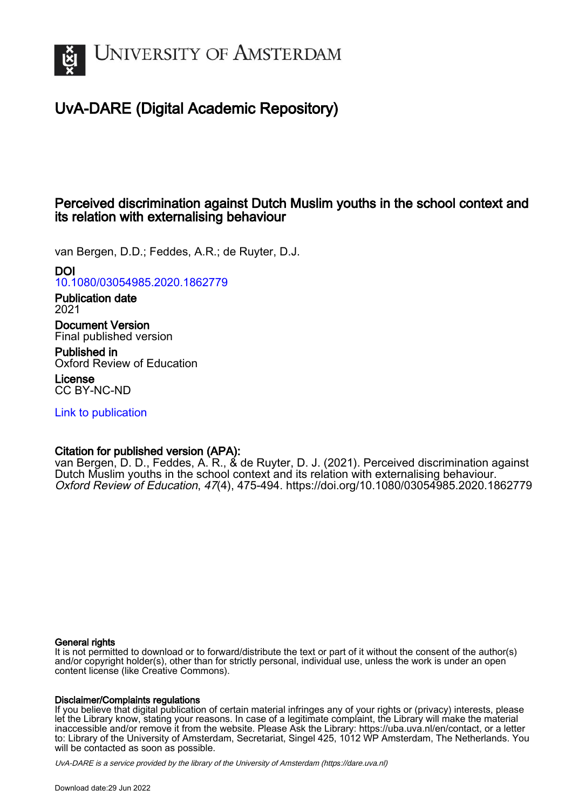

# UvA-DARE (Digital Academic Repository)

## Perceived discrimination against Dutch Muslim youths in the school context and its relation with externalising behaviour

van Bergen, D.D.; Feddes, A.R.; de Ruyter, D.J.

## DOI

[10.1080/03054985.2020.1862779](https://doi.org/10.1080/03054985.2020.1862779)

Publication date 2021

Document Version Final published version

Published in Oxford Review of Education

License CC BY-NC-ND

[Link to publication](https://dare.uva.nl/personal/pure/en/publications/perceived-discrimination-against-dutch-muslim-youths-in-the-school-context-and-its-relation-with-externalising-behaviour(8846d2c8-8593-4626-a10a-35e47dc57877).html)

## Citation for published version (APA):

van Bergen, D. D., Feddes, A. R., & de Ruyter, D. J. (2021). Perceived discrimination against Dutch Muslim youths in the school context and its relation with externalising behaviour. Oxford Review of Education, 47(4), 475-494. <https://doi.org/10.1080/03054985.2020.1862779>

## General rights

It is not permitted to download or to forward/distribute the text or part of it without the consent of the author(s) and/or copyright holder(s), other than for strictly personal, individual use, unless the work is under an open content license (like Creative Commons).

## Disclaimer/Complaints regulations

If you believe that digital publication of certain material infringes any of your rights or (privacy) interests, please let the Library know, stating your reasons. In case of a legitimate complaint, the Library will make the material inaccessible and/or remove it from the website. Please Ask the Library: https://uba.uva.nl/en/contact, or a letter to: Library of the University of Amsterdam, Secretariat, Singel 425, 1012 WP Amsterdam, The Netherlands. You will be contacted as soon as possible.

UvA-DARE is a service provided by the library of the University of Amsterdam (http*s*://dare.uva.nl)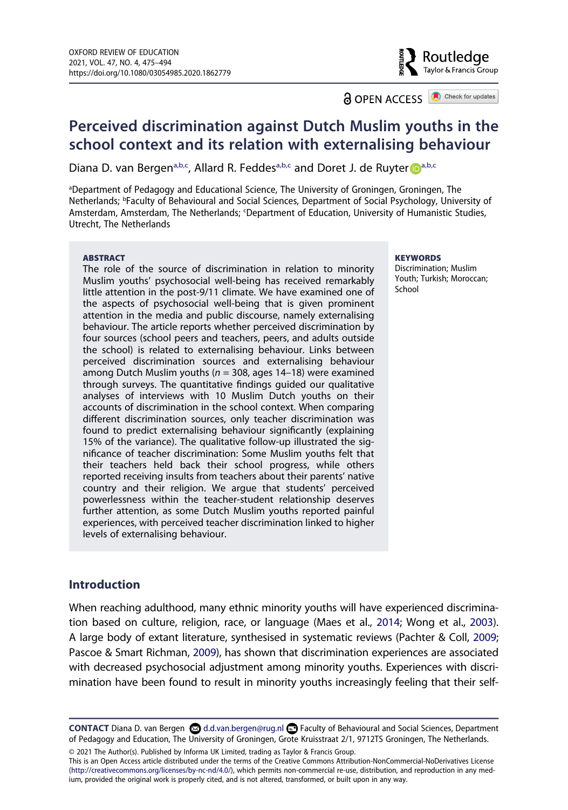**a** OPEN ACCESS **a** Check for updates

Routledge Taylor & Francis Group

## **Perceived discrimination against Dutch Muslim youths in the school context and its relation with externalising behaviour**

Di[a](#page-1-0)na D. van Bergen<sup>a[,b](#page-1-1),c</sup>, Alla[r](http://orcid.org/0000-0001-7891-6818)d R. Feddes<sup>a,b[,c](#page-1-2)</sup> and Doret J. de Ruyter Da,b,c

<span id="page-1-2"></span><span id="page-1-1"></span><span id="page-1-0"></span>aDepartment of Pedagogy and Educational Science, The University of Groningen, Groningen, The Netherlands; b Faculty of Behavioural and Social Sciences, Department of Social Psychology, University of Amsterdam, Amsterdam, The Netherlands; <sup>c</sup>Department of Education, University of Humanistic Studies, Utrecht, The Netherlands

#### **ABSTRACT**

The role of the source of discrimination in relation to minority Muslim youths' psychosocial well-being has received remarkably little attention in the post-9/11 climate. We have examined one of the aspects of psychosocial well-being that is given prominent attention in the media and public discourse, namely externalising behaviour. The article reports whether perceived discrimination by four sources (school peers and teachers, peers, and adults outside the school) is related to externalising behaviour. Links between perceived discrimination sources and externalising behaviour among Dutch Muslim youths (*n* = 308, ages 14–18) were examined through surveys. The quantitative findings guided our qualitative analyses of interviews with 10 Muslim Dutch youths on their accounts of discrimination in the school context. When comparing different discrimination sources, only teacher discrimination was found to predict externalising behaviour significantly (explaining 15% of the variance). The qualitative follow-up illustrated the significance of teacher discrimination: Some Muslim youths felt that their teachers held back their school progress, while others reported receiving insults from teachers about their parents' native country and their religion. We argue that students' perceived powerlessness within the teacher-student relationship deserves further attention, as some Dutch Muslim youths reported painful experiences, with perceived teacher discrimination linked to higher levels of externalising behaviour.

#### **KEYWORDS**

Discrimination; Muslim Youth; Turkish; Moroccan; School

## **Introduction**

<span id="page-1-5"></span><span id="page-1-4"></span><span id="page-1-3"></span>When reaching adulthood, many ethnic minority youths will have experienced discrimination based on culture, religion, race, or language (Maes et al., [2014](#page-19-0); Wong et al., [2003](#page-20-0)). A large body of extant literature, synthesised in systematic reviews (Pachter & Coll, [2009](#page-19-1); Pascoe & Smart Richman, [2009\)](#page-19-2), has shown that discrimination experiences are associated with decreased psychosocial adjustment among minority youths. Experiences with discrimination have been found to result in minority youths increasingly feeling that their self-

© 2021 The Author(s). Published by Informa UK Limited, trading as Taylor & Francis Group.

This is an Open Access article distributed under the terms of the Creative Commons Attribution-NonCommercial-NoDerivatives License (http://creativecommons.org/licenses/by-nc-nd/4.0/), which permits non-commercial re-use, distribution, and reproduction in any medium, provided the original work is properly cited, and is not altered, transformed, or built upon in any way.

**CONTACT** Diana D. van Bergen d.d.van.bergen@rug.nl Faculty of Behavioural and Social Sciences, Department of Pedagogy and Education, The University of Groningen, Grote Kruisstraat 2/1, 9712TS Groningen, The Netherlands.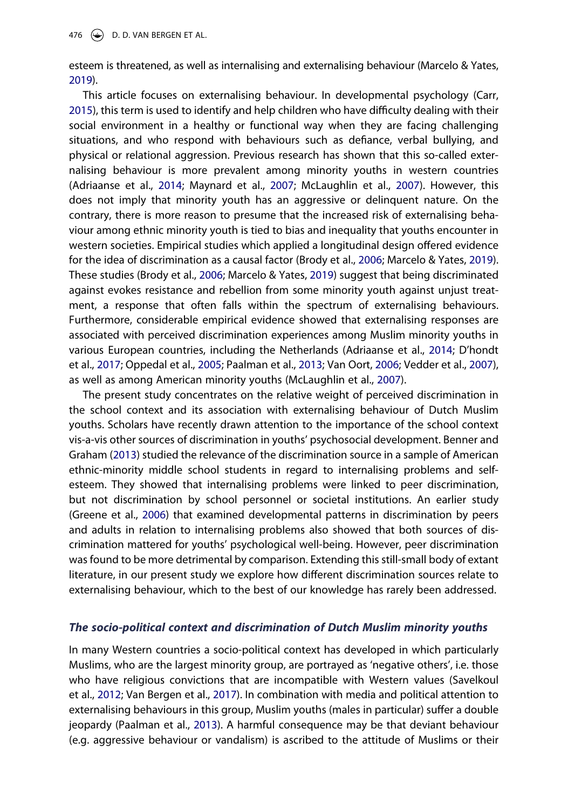esteem is threatened, as well as internalising and externalising behaviour (Marcelo & Yates, [2019](#page-19-3)).

<span id="page-2-6"></span><span id="page-2-3"></span>This article focuses on externalising behaviour. In developmental psychology (Carr, [2015\)](#page-18-0), this term is used to identify and help children who have difficulty dealing with their social environment in a healthy or functional way when they are facing challenging situations, and who respond with behaviours such as defiance, verbal bullying, and physical or relational aggression. Previous research has shown that this so-called externalising behaviour is more prevalent among minority youths in western countries (Adriaanse et al., [2014](#page-18-1); Maynard et al., [2007](#page-19-4); McLaughlin et al., [2007\)](#page-19-5). However, this does not imply that minority youth has an aggressive or delinquent nature. On the contrary, there is more reason to presume that the increased risk of externalising behaviour among ethnic minority youth is tied to bias and inequality that youths encounter in western societies. Empirical studies which applied a longitudinal design offered evidence for the idea of discrimination as a causal factor (Brody et al., [2006;](#page-18-2) Marcelo & Yates, [2019](#page-19-3)). These studies (Brody et al., [2006;](#page-18-2) Marcelo & Yates, [2019\)](#page-19-3) suggest that being discriminated against evokes resistance and rebellion from some minority youth against unjust treatment, a response that often falls within the spectrum of externalising behaviours. Furthermore, considerable empirical evidence showed that externalising responses are associated with perceived discrimination experiences among Muslim minority youths in various European countries, including the Netherlands (Adriaanse et al., [2014](#page-18-1); D'hondt et al., [2017;](#page-18-3) Oppedal et al., [2005](#page-19-6); Paalman et al., [2013](#page-19-7); Van Oort, [2006;](#page-20-1) Vedder et al., [2007](#page-20-2)), as well as among American minority youths (McLaughlin et al., [2007](#page-19-5)).

<span id="page-2-7"></span><span id="page-2-5"></span><span id="page-2-4"></span><span id="page-2-2"></span><span id="page-2-1"></span><span id="page-2-0"></span>The present study concentrates on the relative weight of perceived discrimination in the school context and its association with externalising behaviour of Dutch Muslim youths. Scholars have recently drawn attention to the importance of the school context vis-a-vis other sources of discrimination in youths' psychosocial development. Benner and Graham [\(2013\)](#page-18-4) studied the relevance of the discrimination source in a sample of American ethnic-minority middle school students in regard to internalising problems and selfesteem. They showed that internalising problems were linked to peer discrimination, but not discrimination by school personnel or societal institutions. An earlier study (Greene et al., [2006](#page-18-5)) that examined developmental patterns in discrimination by peers and adults in relation to internalising problems also showed that both sources of discrimination mattered for youths' psychological well-being. However, peer discrimination was found to be more detrimental by comparison. Extending this still-small body of extant literature, in our present study we explore how different discrimination sources relate to externalising behaviour, which to the best of our knowledge has rarely been addressed.

#### *The socio-political context and discrimination of Dutch Muslim minority youths*

<span id="page-2-9"></span><span id="page-2-8"></span>In many Western countries a socio-political context has developed in which particularly Muslims, who are the largest minority group, are portrayed as 'negative others', i.e. those who have religious convictions that are incompatible with Western values (Savelkoul et al., [2012](#page-19-8); Van Bergen et al., [2017\)](#page-20-3). In combination with media and political attention to externalising behaviours in this group, Muslim youths (males in particular) suffer a double jeopardy (Paalman et al., [2013\)](#page-19-7). A harmful consequence may be that deviant behaviour (e.g. aggressive behaviour or vandalism) is ascribed to the attitude of Muslims or their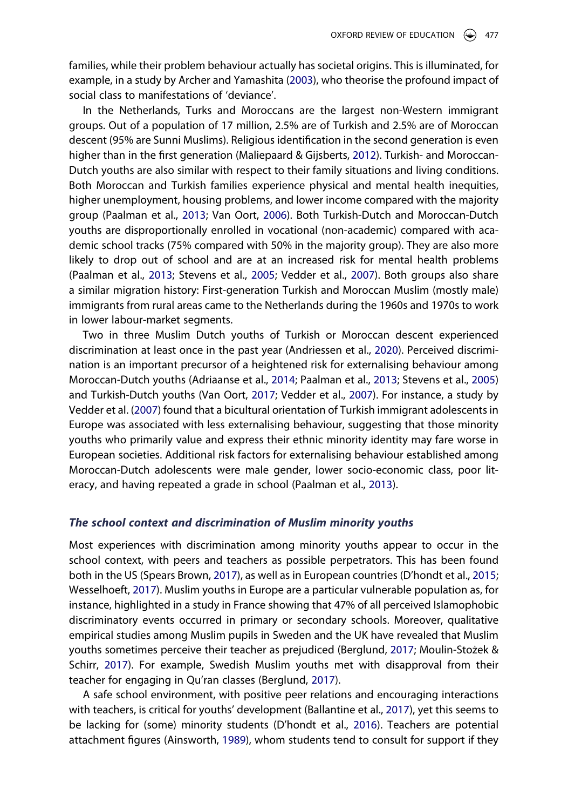<span id="page-3-2"></span>families, while their problem behaviour actually has societal origins. This is illuminated, for example, in a study by Archer and Yamashita ([2003](#page-18-6)), who theorise the profound impact of social class to manifestations of 'deviance'.

<span id="page-3-7"></span>In the Netherlands, Turks and Moroccans are the largest non-Western immigrant groups. Out of a population of 17 million, 2.5% are of Turkish and 2.5% are of Moroccan descent (95% are Sunni Muslims). Religious identification in the second generation is even higher than in the first generation (Maliepaard & Gijsberts, [2012\)](#page-19-9). Turkish- and Moroccan-Dutch youths are also similar with respect to their family situations and living conditions. Both Moroccan and Turkish families experience physical and mental health inequities, higher unemployment, housing problems, and lower income compared with the majority group (Paalman et al., [2013;](#page-19-7) Van Oort, [2006](#page-20-1)). Both Turkish-Dutch and Moroccan-Dutch youths are disproportionally enrolled in vocational (non-academic) compared with academic school tracks (75% compared with 50% in the majority group). They are also more likely to drop out of school and are at an increased risk for mental health problems (Paalman et al., [2013;](#page-19-7) Stevens et al., [2005;](#page-20-4) Vedder et al., [2007](#page-20-2)). Both groups also share a similar migration history: First-generation Turkish and Moroccan Muslim (mostly male) immigrants from rural areas came to the Netherlands during the 1960s and 1970s to work in lower labour-market segments.

<span id="page-3-9"></span><span id="page-3-1"></span>Two in three Muslim Dutch youths of Turkish or Moroccan descent experienced discrimination at least once in the past year (Andriessen et al., [2020\)](#page-18-7). Perceived discrimination is an important precursor of a heightened risk for externalising behaviour among Moroccan-Dutch youths (Adriaanse et al., [2014](#page-18-1); Paalman et al., [2013](#page-19-7); Stevens et al., [2005](#page-20-4)) and Turkish-Dutch youths (Van Oort, [2017](#page-20-3); Vedder et al., [2007\)](#page-20-2). For instance, a study by Vedder et al. ([2007](#page-20-2)) found that a bicultural orientation of Turkish immigrant adolescents in Europe was associated with less externalising behaviour, suggesting that those minority youths who primarily value and express their ethnic minority identity may fare worse in European societies. Additional risk factors for externalising behaviour established among Moroccan-Dutch adolescents were male gender, lower socio-economic class, poor literacy, and having repeated a grade in school (Paalman et al., [2013](#page-19-7)).

#### *The school context and discrimination of Muslim minority youths*

<span id="page-3-10"></span><span id="page-3-6"></span>Most experiences with discrimination among minority youths appear to occur in the school context, with peers and teachers as possible perpetrators. This has been found both in the US (Spears Brown, [2017](#page-20-5)), as well as in European countries (D'hondt et al., [2015](#page-18-8); Wesselhoeft, [2017\)](#page-20-6). Muslim youths in Europe are a particular vulnerable population as, for instance, highlighted in a study in France showing that 47% of all perceived Islamophobic discriminatory events occurred in primary or secondary schools. Moreover, qualitative empirical studies among Muslim pupils in Sweden and the UK have revealed that Muslim youths sometimes perceive their teacher as prejudiced (Berglund, [2017;](#page-18-9) Moulin-Stożek & Schirr, [2017](#page-19-10)). For example, Swedish Muslim youths met with disapproval from their teacher for engaging in Qu'ran classes (Berglund, [2017](#page-18-9)).

<span id="page-3-8"></span><span id="page-3-5"></span><span id="page-3-4"></span><span id="page-3-3"></span><span id="page-3-0"></span>A safe school environment, with positive peer relations and encouraging interactions with teachers, is critical for youths' development (Ballantine et al., [2017\)](#page-18-10), yet this seems to be lacking for (some) minority students (D'hondt et al., [2016\)](#page-18-11). Teachers are potential attachment figures (Ainsworth, [1989\)](#page-18-12), whom students tend to consult for support if they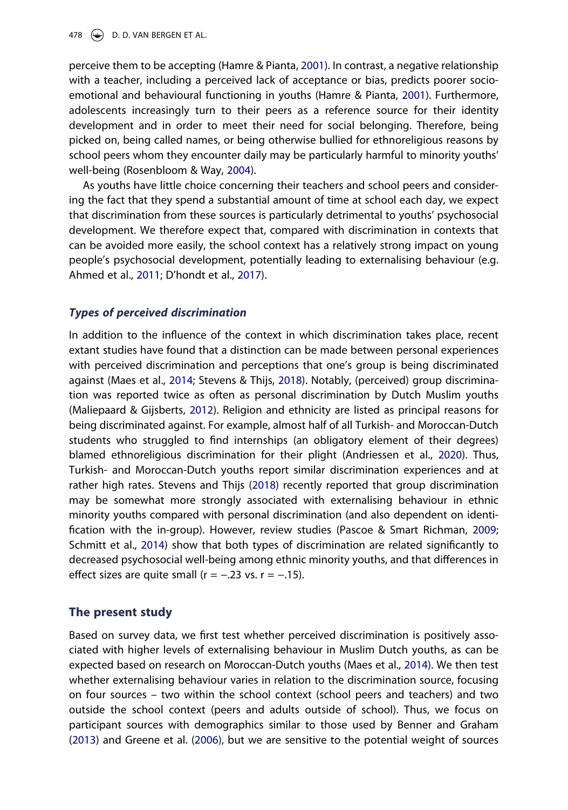<span id="page-4-1"></span>perceive them to be accepting (Hamre & Pianta, [2001\)](#page-19-11). In contrast, a negative relationship with a teacher, including a perceived lack of acceptance or bias, predicts poorer socioemotional and behavioural functioning in youths (Hamre & Pianta, [2001\)](#page-19-11). Furthermore, adolescents increasingly turn to their peers as a reference source for their identity development and in order to meet their need for social belonging. Therefore, being picked on, being called names, or being otherwise bullied for ethnoreligious reasons by school peers whom they encounter daily may be particularly harmful to minority youths' well-being (Rosenbloom & Way, [2004\)](#page-19-12).

<span id="page-4-2"></span>As youths have little choice concerning their teachers and school peers and considering the fact that they spend a substantial amount of time at school each day, we expect that discrimination from these sources is particularly detrimental to youths' psychosocial development. We therefore expect that, compared with discrimination in contexts that can be avoided more easily, the school context has a relatively strong impact on young people's psychosocial development, potentially leading to externalising behaviour (e.g. Ahmed et al., [2011](#page-18-13); D'hondt et al., [2017\)](#page-18-3).

#### <span id="page-4-0"></span>*Types of perceived discrimination*

In addition to the influence of the context in which discrimination takes place, recent extant studies have found that a distinction can be made between personal experiences with perceived discrimination and perceptions that one's group is being discriminated against (Maes et al., [2014;](#page-19-0) Stevens & Thijs, [2018](#page-20-7)). Notably, (perceived) group discrimination was reported twice as often as personal discrimination by Dutch Muslim youths (Maliepaard & Gijsberts, [2012](#page-19-9)). Religion and ethnicity are listed as principal reasons for being discriminated against. For example, almost half of all Turkish- and Moroccan-Dutch students who struggled to find internships (an obligatory element of their degrees) blamed ethnoreligious discrimination for their plight (Andriessen et al., [2020](#page-18-7)). Thus, Turkish- and Moroccan-Dutch youths report similar discrimination experiences and at rather high rates. Stevens and Thijs [\(2018\)](#page-20-7) recently reported that group discrimination may be somewhat more strongly associated with externalising behaviour in ethnic minority youths compared with personal discrimination (and also dependent on identification with the in-group). However, review studies (Pascoe & Smart Richman, [2009](#page-19-2); Schmitt et al., [2014](#page-19-13)) show that both types of discrimination are related significantly to decreased psychosocial well-being among ethnic minority youths, and that differences in effect sizes are quite small ( $r = -.23$  vs.  $r = -.15$ ).

### <span id="page-4-4"></span><span id="page-4-3"></span>**The present study**

Based on survey data, we first test whether perceived discrimination is positively associated with higher levels of externalising behaviour in Muslim Dutch youths, as can be expected based on research on Moroccan-Dutch youths (Maes et al., [2014\)](#page-19-0). We then test whether externalising behaviour varies in relation to the discrimination source, focusing on four sources – two within the school context (school peers and teachers) and two outside the school context (peers and adults outside of school). Thus, we focus on participant sources with demographics similar to those used by Benner and Graham ([2013](#page-18-4)) and Greene et al. [\(2006\)](#page-18-5), but we are sensitive to the potential weight of sources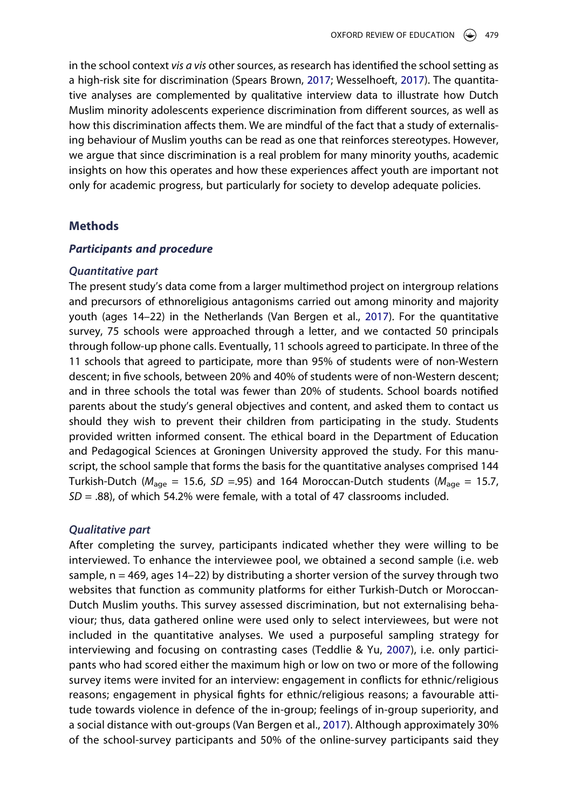in the school context *vis a vis* other sources, as research has identified the school setting as a high-risk site for discrimination (Spears Brown, [2017](#page-20-5); Wesselhoeft, [2017\)](#page-20-6). The quantitative analyses are complemented by qualitative interview data to illustrate how Dutch Muslim minority adolescents experience discrimination from different sources, as well as how this discrimination affects them. We are mindful of the fact that a study of externalising behaviour of Muslim youths can be read as one that reinforces stereotypes. However, we argue that since discrimination is a real problem for many minority youths, academic insights on how this operates and how these experiences affect youth are important not only for academic progress, but particularly for society to develop adequate policies.

## **Methods**

#### *Participants and procedure*

#### *Quantitative part*

The present study's data come from a larger multimethod project on intergroup relations and precursors of ethnoreligious antagonisms carried out among minority and majority youth (ages 14–22) in the Netherlands (Van Bergen et al., [2017\)](#page-20-3). For the quantitative survey, 75 schools were approached through a letter, and we contacted 50 principals through follow-up phone calls. Eventually, 11 schools agreed to participate. In three of the 11 schools that agreed to participate, more than 95% of students were of non-Western descent; in five schools, between 20% and 40% of students were of non-Western descent; and in three schools the total was fewer than 20% of students. School boards notified parents about the study's general objectives and content, and asked them to contact us should they wish to prevent their children from participating in the study. Students provided written informed consent. The ethical board in the Department of Education and Pedagogical Sciences at Groningen University approved the study. For this manuscript, the school sample that forms the basis for the quantitative analyses comprised 144 Turkish-Dutch ( $M_{\text{age}} = 15.6$ , SD = .95) and 164 Moroccan-Dutch students ( $M_{\text{age}} = 15.7$ , *SD* = .88), of which 54.2% were female, with a total of 47 classrooms included.

#### *Qualitative part*

<span id="page-5-0"></span>After completing the survey, participants indicated whether they were willing to be interviewed. To enhance the interviewee pool, we obtained a second sample (i.e. web sample,  $n = 469$ , ages  $14-22$ ) by distributing a shorter version of the survey through two websites that function as community platforms for either Turkish-Dutch or Moroccan-Dutch Muslim youths. This survey assessed discrimination, but not externalising behaviour; thus, data gathered online were used only to select interviewees, but were not included in the quantitative analyses. We used a purposeful sampling strategy for interviewing and focusing on contrasting cases (Teddlie & Yu, [2007\)](#page-20-8), i.e. only participants who had scored either the maximum high or low on two or more of the following survey items were invited for an interview: engagement in conflicts for ethnic/religious reasons; engagement in physical fights for ethnic/religious reasons; a favourable attitude towards violence in defence of the in-group; feelings of in-group superiority, and a social distance with out-groups (Van Bergen et al., [2017](#page-20-3)). Although approximately 30% of the school-survey participants and 50% of the online-survey participants said they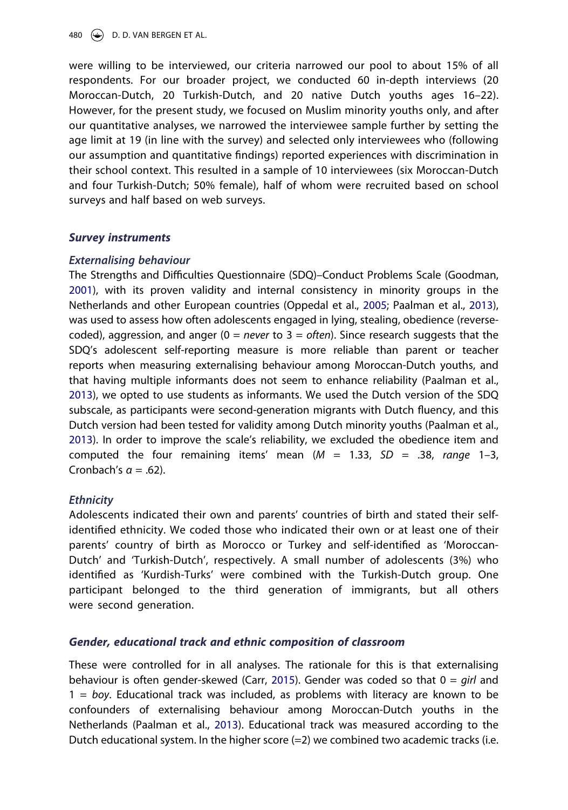480  $\leftrightarrow$  D. D. VAN BERGEN ET AL.

were willing to be interviewed, our criteria narrowed our pool to about 15% of all respondents. For our broader project, we conducted 60 in-depth interviews (20 Moroccan-Dutch, 20 Turkish-Dutch, and 20 native Dutch youths ages 16–22). However, for the present study, we focused on Muslim minority youths only, and after our quantitative analyses, we narrowed the interviewee sample further by setting the age limit at 19 (in line with the survey) and selected only interviewees who (following our assumption and quantitative findings) reported experiences with discrimination in their school context. This resulted in a sample of 10 interviewees (six Moroccan-Dutch and four Turkish-Dutch; 50% female), half of whom were recruited based on school surveys and half based on web surveys.

## *Survey instruments*

### *Externalising behaviour*

<span id="page-6-0"></span>The Strengths and Difficulties Questionnaire (SDQ)–Conduct Problems Scale (Goodman, [2001\)](#page-18-14), with its proven validity and internal consistency in minority groups in the Netherlands and other European countries (Oppedal et al., [2005](#page-19-6); Paalman et al., [2013](#page-19-7)), was used to assess how often adolescents engaged in lying, stealing, obedience (reversecoded), aggression, and anger (0 = *never* to 3 = *often*). Since research suggests that the SDQ's adolescent self-reporting measure is more reliable than parent or teacher reports when measuring externalising behaviour among Moroccan-Dutch youths, and that having multiple informants does not seem to enhance reliability (Paalman et al., [2013\)](#page-19-7), we opted to use students as informants. We used the Dutch version of the SDQ subscale, as participants were second-generation migrants with Dutch fluency, and this Dutch version had been tested for validity among Dutch minority youths (Paalman et al., [2013\)](#page-19-7). In order to improve the scale's reliability, we excluded the obedience item and computed the four remaining items' mean (*M* = 1.33, *SD* = .38, *range* 1–3, Cronbach's *α* = .62).

### *Ethnicity*

Adolescents indicated their own and parents' countries of birth and stated their selfidentified ethnicity. We coded those who indicated their own or at least one of their parents' country of birth as Morocco or Turkey and self-identified as 'Moroccan-Dutch' and 'Turkish-Dutch', respectively. A small number of adolescents (3%) who identified as 'Kurdish-Turks' were combined with the Turkish-Dutch group. One participant belonged to the third generation of immigrants, but all others were second generation.

## *Gender, educational track and ethnic composition of classroom*

These were controlled for in all analyses. The rationale for this is that externalising behaviour is often gender-skewed (Carr, [2015](#page-18-0)). Gender was coded so that 0 = *girl* and 1 = *boy*. Educational track was included, as problems with literacy are known to be confounders of externalising behaviour among Moroccan-Dutch youths in the Netherlands (Paalman et al., [2013\)](#page-19-7). Educational track was measured according to the Dutch educational system. In the higher score  $(=2)$  we combined two academic tracks (i.e.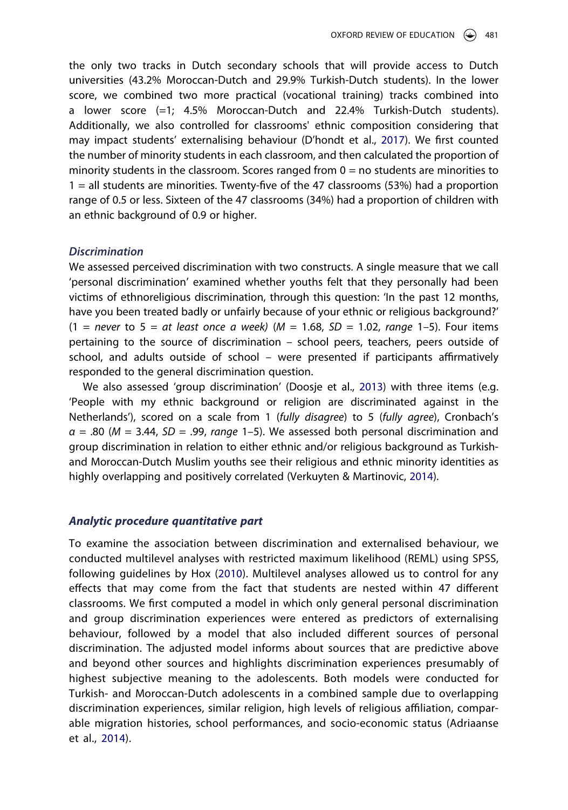the only two tracks in Dutch secondary schools that will provide access to Dutch universities (43.2% Moroccan-Dutch and 29.9% Turkish-Dutch students). In the lower score, we combined two more practical (vocational training) tracks combined into a lower score (=1; 4.5% Moroccan-Dutch and 22.4% Turkish-Dutch students). Additionally, we also controlled for classrooms' ethnic composition considering that may impact students' externalising behaviour (D'hondt et al., [2017\)](#page-18-3). We first counted the number of minority students in each classroom, and then calculated the proportion of minority students in the classroom. Scores ranged from  $0 =$  no students are minorities to 1 = all students are minorities. Twenty-five of the 47 classrooms (53%) had a proportion range of 0.5 or less. Sixteen of the 47 classrooms (34%) had a proportion of children with an ethnic background of 0.9 or higher.

#### *Discrimination*

We assessed perceived discrimination with two constructs. A single measure that we call 'personal discrimination' examined whether youths felt that they personally had been victims of ethnoreligious discrimination, through this question: 'In the past 12 months, have you been treated badly or unfairly because of your ethnic or religious background?' (1 = *never* to 5 = *at least once a week)* (*M* = 1.68, *SD* = 1.02, *range* 1–5). Four items pertaining to the source of discrimination – school peers, teachers, peers outside of school, and adults outside of school – were presented if participants affirmatively responded to the general discrimination question.

<span id="page-7-0"></span>We also assessed 'group discrimination' (Doosje et al., [2013\)](#page-18-15) with three items (e.g. 'People with my ethnic background or religion are discriminated against in the Netherlands'), scored on a scale from 1 (*fully disagree*) to 5 (*fully agree*), Cronbach's *α* = .80 (*M* = 3.44, *SD* = .99, *range* 1–5). We assessed both personal discrimination and group discrimination in relation to either ethnic and/or religious background as Turkishand Moroccan-Dutch Muslim youths see their religious and ethnic minority identities as highly overlapping and positively correlated (Verkuyten & Martinovic, [2014](#page-20-9)).

#### <span id="page-7-2"></span>*Analytic procedure quantitative part*

<span id="page-7-1"></span>To examine the association between discrimination and externalised behaviour, we conducted multilevel analyses with restricted maximum likelihood (REML) using SPSS, following guidelines by Hox ([2010\)](#page-19-14). Multilevel analyses allowed us to control for any effects that may come from the fact that students are nested within 47 different classrooms. We first computed a model in which only general personal discrimination and group discrimination experiences were entered as predictors of externalising behaviour, followed by a model that also included different sources of personal discrimination. The adjusted model informs about sources that are predictive above and beyond other sources and highlights discrimination experiences presumably of highest subjective meaning to the adolescents. Both models were conducted for Turkish- and Moroccan-Dutch adolescents in a combined sample due to overlapping discrimination experiences, similar religion, high levels of religious affiliation, comparable migration histories, school performances, and socio-economic status (Adriaanse et al., [2014\)](#page-18-1).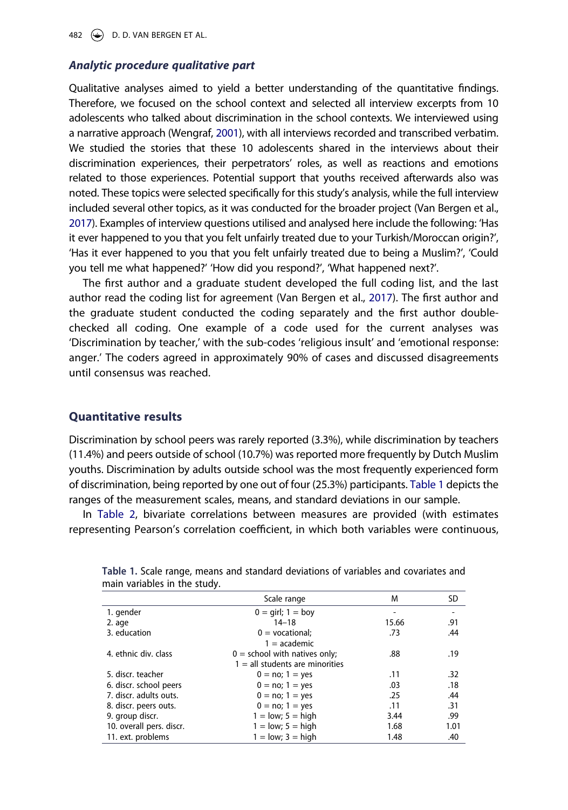482  $\leftrightarrow$  D. D. VAN BERGEN ET AL.

#### *Analytic procedure qualitative part*

<span id="page-8-1"></span>Qualitative analyses aimed to yield a better understanding of the quantitative findings. Therefore, we focused on the school context and selected all interview excerpts from 10 adolescents who talked about discrimination in the school contexts. We interviewed using a narrative approach (Wengraf, [2001](#page-20-10)), with all interviews recorded and transcribed verbatim. We studied the stories that these 10 adolescents shared in the interviews about their discrimination experiences, their perpetrators' roles, as well as reactions and emotions related to those experiences. Potential support that youths received afterwards also was noted. These topics were selected specifically for this study's analysis, while the full interview included several other topics, as it was conducted for the broader project (Van Bergen et al., [2017\)](#page-20-3). Examples of interview questions utilised and analysed here include the following: 'Has it ever happened to you that you felt unfairly treated due to your Turkish/Moroccan origin?', 'Has it ever happened to you that you felt unfairly treated due to being a Muslim?', 'Could you tell me what happened?' 'How did you respond?', 'What happened next?'.

The first author and a graduate student developed the full coding list, and the last author read the coding list for agreement (Van Bergen et al., [2017](#page-20-3)). The first author and the graduate student conducted the coding separately and the first author doublechecked all coding. One example of a code used for the current analyses was 'Discrimination by teacher,' with the sub-codes 'religious insult' and 'emotional response: anger.' The coders agreed in approximately 90% of cases and discussed disagreements until consensus was reached.

## **Quantitative results**

Discrimination by school peers was rarely reported (3.3%), while discrimination by teachers (11.4%) and peers outside of school (10.7%) was reported more frequently by Dutch Muslim youths. Discrimination by adults outside school was the most frequently experienced form of discrimination, being reported by one out of four (25.3%) participants. [Table 1](#page-8-0) depicts the ranges of the measurement scales, means, and standard deviations in our sample.

In [Table 2,](#page-9-0) bivariate correlations between measures are provided (with estimates representing Pearson's correlation coefficient, in which both variables were continuous,

|                          | Scale range                          | M     | SD   |
|--------------------------|--------------------------------------|-------|------|
| 1. gender                | $0 = \text{qirl}$ ; $1 = \text{boy}$ |       |      |
| 2. age                   | $14 - 18$                            | 15.66 | .91  |
| 3. education             | $0 =$ vocational:                    | .73   | .44  |
|                          | $1 = academic$                       |       |      |
| 4. ethnic div. class     | $0 =$ school with natives only;      | .88   | .19  |
|                          | $1 =$ all students are minorities    |       |      |
| 5. discr. teacher        | $0 = no; 1 = yes$                    | .11   | .32  |
| 6. discr. school peers   | $0 = no; 1 = yes$                    | .03   | .18  |
| 7. discr. adults outs.   | $0 = no; 1 = yes$                    | .25   | .44  |
| 8. discr. peers outs.    | $0 = no; 1 = yes$                    | .11   | .31  |
| 9. group discr.          | $1 = low$ ; $5 = high$               | 3.44  | .99  |
| 10. overall pers. discr. | $1 = low$ ; $5 = high$               | 1.68  | 1.01 |
| 11. ext. problems        | $1 = low$ ; $3 = high$               | 1.48  | .40  |

<span id="page-8-0"></span>**Table 1.** Scale range, means and standard deviations of variables and covariates and main variables in the study.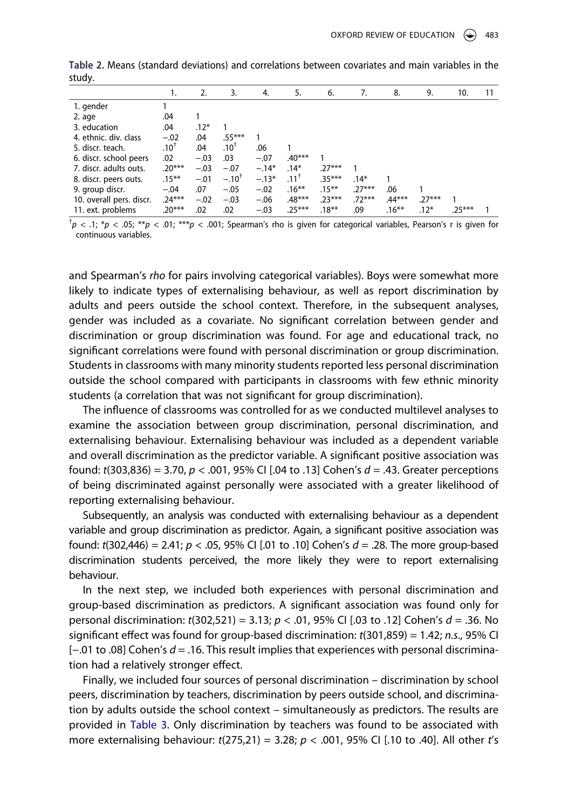|                          | 1.              | 2.     | 3.              | 4.      | 5.       | 6.       | 7.       | 8.       | 9.       | 10.      |  |
|--------------------------|-----------------|--------|-----------------|---------|----------|----------|----------|----------|----------|----------|--|
| 1. gender                |                 |        |                 |         |          |          |          |          |          |          |  |
| 2. age                   | .04             |        |                 |         |          |          |          |          |          |          |  |
| 3. education             | .04             | $.12*$ |                 |         |          |          |          |          |          |          |  |
| 4. ethnic. div. class    | $-.02$          | .04    | $.55***$        |         |          |          |          |          |          |          |  |
| 5. discr. teach.         | $.10^{\dagger}$ | .04    | $.10^{\dagger}$ | .06     |          |          |          |          |          |          |  |
| 6. discr. school peers   | .02             | $-.03$ | .03             | $-.07$  | $.40***$ |          |          |          |          |          |  |
| 7. discr. adults outs.   | $.20***$        | $-.03$ | $-.07$          | $-.14*$ | $.14*$   | $.27***$ |          |          |          |          |  |
| 8. discr. peers outs.    | $.15***$        | $-.01$ | $-.10^{T}$      | $-.13*$ | $.11^+$  | $.35***$ | $.14*$   |          |          |          |  |
| 9. group discr.          | $-.04$          | .07    | $-.05$          | $-.02$  | $.16***$ | $.15***$ | $.27***$ | .06      |          |          |  |
| 10. overall pers. discr. | $.24***$        | $-.02$ | $-.03$          | $-.06$  | $.48***$ | $.23***$ | $.72***$ | .44***   | $.27***$ |          |  |
| 11. ext. problems        | $.20***$        | .02    | .02             | $-.03$  | $.25***$ | $.18***$ | .09      | $.16***$ | $.12*$   | $.25***$ |  |

<span id="page-9-0"></span>**Table 2.** Means (standard deviations) and correlations between covariates and main variables in the study.

† *p* < .1; \**p* < .05; \*\**p* < .01; \*\*\**p* < .001; Spearman's rho is given for categorical variables, Pearson's r is given for continuous variables.

and Spearman's *rho* for pairs involving categorical variables). Boys were somewhat more likely to indicate types of externalising behaviour, as well as report discrimination by adults and peers outside the school context. Therefore, in the subsequent analyses, gender was included as a covariate. No significant correlation between gender and discrimination or group discrimination was found. For age and educational track, no significant correlations were found with personal discrimination or group discrimination. Students in classrooms with many minority students reported less personal discrimination outside the school compared with participants in classrooms with few ethnic minority students (a correlation that was not significant for group discrimination).

The influence of classrooms was controlled for as we conducted multilevel analyses to examine the association between group discrimination, personal discrimination, and externalising behaviour. Externalising behaviour was included as a dependent variable and overall discrimination as the predictor variable. A significant positive association was found: *t*(303,836) = 3.70, *p* < .001, 95% CI [.04 to .13] Cohen's *d* = .43. Greater perceptions of being discriminated against personally were associated with a greater likelihood of reporting externalising behaviour.

Subsequently, an analysis was conducted with externalising behaviour as a dependent variable and group discrimination as predictor. Again, a significant positive association was found: *t*(302,446) = 2.41; *p* < .05, 95% CI [.01 to .10] Cohen's *d* = .28. The more group-based discrimination students perceived, the more likely they were to report externalising behaviour.

In the next step, we included both experiences with personal discrimination and group-based discrimination as predictors. A significant association was found only for personal discrimination: *t*(302,521) = 3.13; *p* < .01, 95% CI [.03 to .12] Cohen's *d* = .36. No significant effect was found for group-based discrimination: *t*(301,859) = 1.42; *n.s*., 95% CI [−.01 to .08] Cohen's *d* = .16. This result implies that experiences with personal discrimination had a relatively stronger effect.

Finally, we included four sources of personal discrimination – discrimination by school peers, discrimination by teachers, discrimination by peers outside school, and discrimination by adults outside the school context – simultaneously as predictors. The results are provided in [Table 3](#page-10-0). Only discrimination by teachers was found to be associated with more externalising behaviour: *t*(275,21) = 3.28; *p* < .001, 95% CI [.10 to .40]. All other *t*'s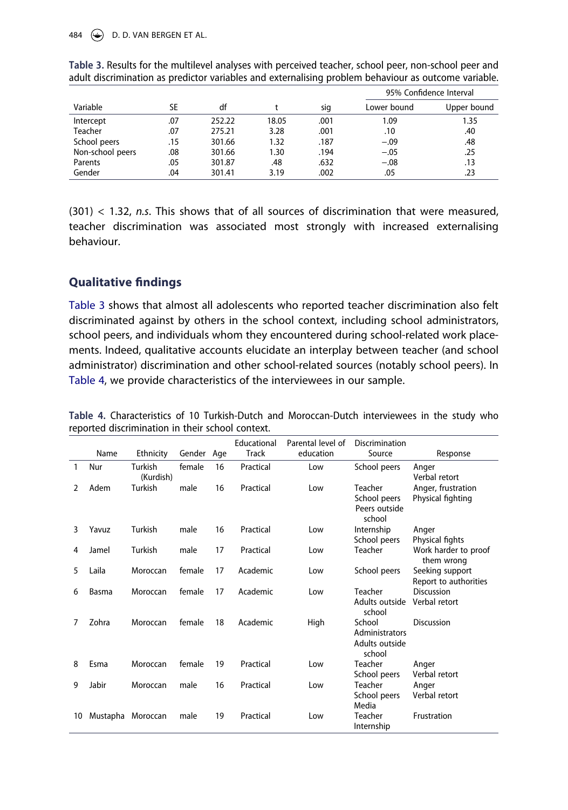484  $\left(\rightarrow\right)$  D. D. VAN BERGEN ET AL.

|                  |     |        |       |      | 95% Confidence Interval |             |
|------------------|-----|--------|-------|------|-------------------------|-------------|
| Variable         | SE  | df     |       | sig  | Lower bound             | Upper bound |
| Intercept        | .07 | 252.22 | 18.05 | .001 | 1.09                    | 1.35        |
| <b>Teacher</b>   | .07 | 275.21 | 3.28  | .001 | .10                     | .40         |
| School peers     | .15 | 301.66 | 1.32  | .187 | $-.09$                  | .48         |
| Non-school peers | .08 | 301.66 | 1.30  | .194 | $-.05$                  | .25         |
| Parents          | .05 | 301.87 | .48   | .632 | $-.08$                  | .13         |
| Gender           | .04 | 301.41 | 3.19  | .002 | .05                     | .23         |

<span id="page-10-0"></span>**Table 3.** Results for the multilevel analyses with perceived teacher, school peer, non-school peer and adult discrimination as predictor variables and externalising problem behaviour as outcome variable.

(301) < 1.32, *n.s*. This shows that of all sources of discrimination that were measured, teacher discrimination was associated most strongly with increased externalising behaviour.

## **Qualitative findings**

[Table 3](#page-10-0) shows that almost all adolescents who reported teacher discrimination also felt discriminated against by others in the school context, including school administrators, school peers, and individuals whom they encountered during school-related work placements. Indeed, qualitative accounts elucidate an interplay between teacher (and school administrator) discrimination and other school-related sources (notably school peers). In [Table 4,](#page-10-1) we provide characteristics of the interviewees in our sample.

|    |          |                      |            |    | Educational  | Parental level of | Discrimination                                       |                                          |
|----|----------|----------------------|------------|----|--------------|-------------------|------------------------------------------------------|------------------------------------------|
|    | Name     | Ethnicity            | Gender Age |    | <b>Track</b> | education         | Source                                               | Response                                 |
| 1  | Nur      | Turkish<br>(Kurdish) | female     | 16 | Practical    | Low               | School peers                                         | Anger<br>Verbal retort                   |
| 2  | Adem     | Turkish              | male       | 16 | Practical    | Low               | Teacher<br>School peers<br>Peers outside<br>school   | Anger, frustration<br>Physical fighting  |
| 3  | Yavuz    | Turkish              | male       | 16 | Practical    | Low               | Internship<br>School peers                           | Anger<br>Physical fights                 |
| 4  | Jamel    | Turkish              | male       | 17 | Practical    | Low               | Teacher                                              | Work harder to proof<br>them wrong       |
| 5  | Laila    | Moroccan             | female     | 17 | Academic     | Low               | School peers                                         | Seeking support<br>Report to authorities |
| 6  | Basma    | Moroccan             | female     | 17 | Academic     | Low               | Teacher<br>Adults outside<br>school                  | <b>Discussion</b><br>Verbal retort       |
| 7  | Zohra    | Moroccan             | female     | 18 | Academic     | High              | School<br>Administrators<br>Adults outside<br>school | <b>Discussion</b>                        |
| 8  | Esma     | Moroccan             | female     | 19 | Practical    | Low               | Teacher<br>School peers                              | Anger<br>Verbal retort                   |
| 9  | Jabir    | Moroccan             | male       | 16 | Practical    | Low               | Teacher<br>School peers<br>Media                     | Anger<br>Verbal retort                   |
| 10 | Mustapha | Moroccan             | male       | 19 | Practical    | Low               | Teacher<br>Internship                                | Frustration                              |

<span id="page-10-1"></span>**Table 4.** Characteristics of 10 Turkish-Dutch and Moroccan-Dutch interviewees in the study who reported discrimination in their school context.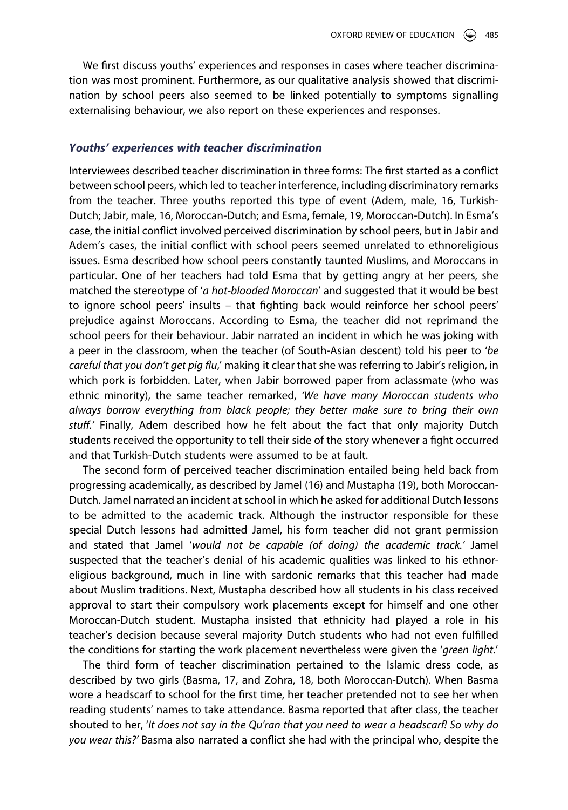We first discuss youths' experiences and responses in cases where teacher discrimination was most prominent. Furthermore, as our qualitative analysis showed that discrimination by school peers also seemed to be linked potentially to symptoms signalling externalising behaviour, we also report on these experiences and responses.

#### *Youths' experiences with teacher discrimination*

Interviewees described teacher discrimination in three forms: The first started as a conflict between school peers, which led to teacher interference, including discriminatory remarks from the teacher. Three youths reported this type of event (Adem, male, 16, Turkish-Dutch; Jabir, male, 16, Moroccan-Dutch; and Esma, female, 19, Moroccan-Dutch). In Esma's case, the initial conflict involved perceived discrimination by school peers, but in Jabir and Adem's cases, the initial conflict with school peers seemed unrelated to ethnoreligious issues. Esma described how school peers constantly taunted Muslims, and Moroccans in particular. One of her teachers had told Esma that by getting angry at her peers, she matched the stereotype of '*a hot-blooded Moroccan*' and suggested that it would be best to ignore school peers' insults – that fighting back would reinforce her school peers' prejudice against Moroccans. According to Esma, the teacher did not reprimand the school peers for their behaviour. Jabir narrated an incident in which he was joking with a peer in the classroom, when the teacher (of South-Asian descent) told his peer to '*be careful that you don't get pig flu*,' making it clear that she was referring to Jabir's religion, in which pork is forbidden. Later, when Jabir borrowed paper from aclassmate (who was ethnic minority), the same teacher remarked, *'We have many Moroccan students who always borrow everything from black people; they better make sure to bring their own stuff.'* Finally, Adem described how he felt about the fact that only majority Dutch students received the opportunity to tell their side of the story whenever a fight occurred and that Turkish-Dutch students were assumed to be at fault.

The second form of perceived teacher discrimination entailed being held back from progressing academically, as described by Jamel (16) and Mustapha (19), both Moroccan-Dutch. Jamel narrated an incident at school in which he asked for additional Dutch lessons to be admitted to the academic track. Although the instructor responsible for these special Dutch lessons had admitted Jamel, his form teacher did not grant permission and stated that Jamel '*would not be capable (of doing) the academic track.'* Jamel suspected that the teacher's denial of his academic qualities was linked to his ethnoreligious background, much in line with sardonic remarks that this teacher had made about Muslim traditions. Next, Mustapha described how all students in his class received approval to start their compulsory work placements except for himself and one other Moroccan-Dutch student. Mustapha insisted that ethnicity had played a role in his teacher's decision because several majority Dutch students who had not even fulfilled the conditions for starting the work placement nevertheless were given the '*green light*.'

The third form of teacher discrimination pertained to the Islamic dress code, as described by two girls (Basma, 17, and Zohra, 18, both Moroccan-Dutch). When Basma wore a headscarf to school for the first time, her teacher pretended not to see her when reading students' names to take attendance. Basma reported that after class, the teacher shouted to her, '*It does not say in the Qu'ran that you need to wear a headscarf! So why do you wear this?'* Basma also narrated a conflict she had with the principal who, despite the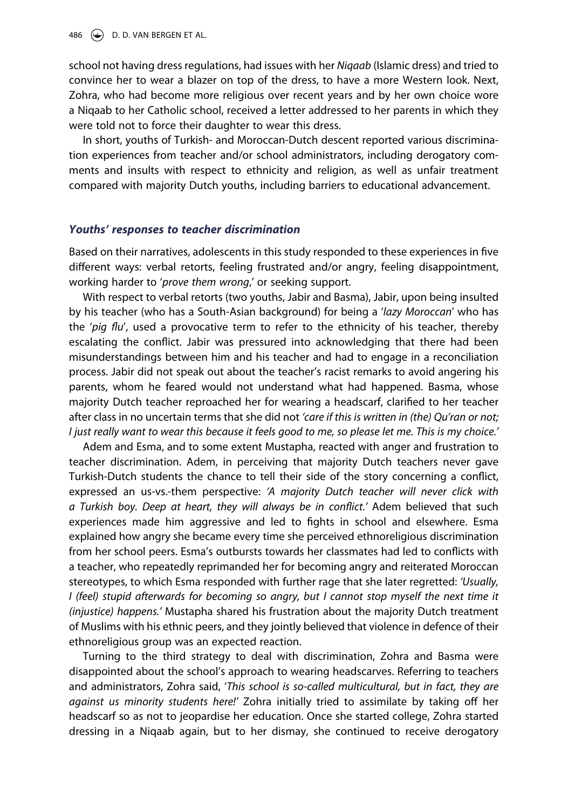school not having dress regulations, had issues with her *Niqaab* (Islamic dress) and tried to convince her to wear a blazer on top of the dress, to have a more Western look. Next, Zohra, who had become more religious over recent years and by her own choice wore a Niqaab to her Catholic school, received a letter addressed to her parents in which they were told not to force their daughter to wear this dress.

In short, youths of Turkish- and Moroccan-Dutch descent reported various discrimination experiences from teacher and/or school administrators, including derogatory comments and insults with respect to ethnicity and religion, as well as unfair treatment compared with majority Dutch youths, including barriers to educational advancement.

#### *Youths' responses to teacher discrimination*

Based on their narratives, adolescents in this study responded to these experiences in five different ways: verbal retorts, feeling frustrated and/or angry, feeling disappointment, working harder to '*prove them wrong*,' or seeking support.

With respect to verbal retorts (two youths, Jabir and Basma), Jabir, upon being insulted by his teacher (who has a South-Asian background) for being a '*lazy Moroccan*' who has the '*pig flu*', used a provocative term to refer to the ethnicity of his teacher, thereby escalating the conflict. Jabir was pressured into acknowledging that there had been misunderstandings between him and his teacher and had to engage in a reconciliation process. Jabir did not speak out about the teacher's racist remarks to avoid angering his parents, whom he feared would not understand what had happened. Basma, whose majority Dutch teacher reproached her for wearing a headscarf, clarified to her teacher after class in no uncertain terms that she did not *'care if this is written in (the) Qu'ran or not; I just really want to wear this because it feels good to me, so please let me. This is my choice.'*

Adem and Esma, and to some extent Mustapha, reacted with anger and frustration to teacher discrimination. Adem, in perceiving that majority Dutch teachers never gave Turkish-Dutch students the chance to tell their side of the story concerning a conflict, expressed an us-vs.-them perspective: *'A majority Dutch teacher will never click with a Turkish boy. Deep at heart, they will always be in conflict.'* Adem believed that such experiences made him aggressive and led to fights in school and elsewhere. Esma explained how angry she became every time she perceived ethnoreligious discrimination from her school peers. Esma's outbursts towards her classmates had led to conflicts with a teacher, who repeatedly reprimanded her for becoming angry and reiterated Moroccan stereotypes, to which Esma responded with further rage that she later regretted: *'Usually, I* (feel) stupid afterwards for becoming so angry, but I cannot stop myself the next time it *(injustice) happens.'* Mustapha shared his frustration about the majority Dutch treatment of Muslims with his ethnic peers, and they jointly believed that violence in defence of their ethnoreligious group was an expected reaction.

Turning to the third strategy to deal with discrimination, Zohra and Basma were disappointed about the school's approach to wearing headscarves. Referring to teachers and administrators, Zohra said, '*This school is so-called multicultural, but in fact, they are against us minority students here!'* Zohra initially tried to assimilate by taking off her headscarf so as not to jeopardise her education. Once she started college, Zohra started dressing in a Niqaab again, but to her dismay, she continued to receive derogatory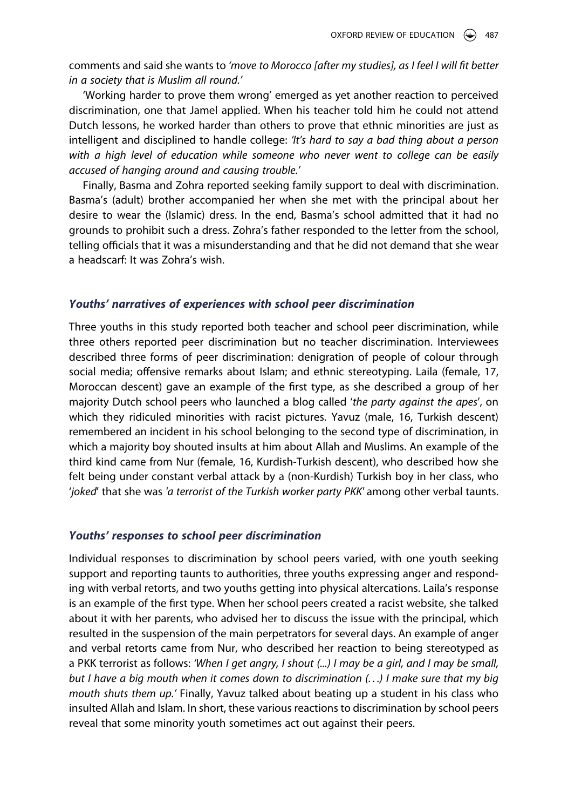comments and said she wants to *'move to Morocco [after my studies], as I feel I will fit better in a society that is Muslim all round.'*

'Working harder to prove them wrong' emerged as yet another reaction to perceived discrimination, one that Jamel applied. When his teacher told him he could not attend Dutch lessons, he worked harder than others to prove that ethnic minorities are just as intelligent and disciplined to handle college: *'It's hard to say a bad thing about a person with a high level of education while someone who never went to college can be easily accused of hanging around and causing trouble.'*

Finally, Basma and Zohra reported seeking family support to deal with discrimination. Basma's (adult) brother accompanied her when she met with the principal about her desire to wear the (Islamic) dress. In the end, Basma's school admitted that it had no grounds to prohibit such a dress. Zohra's father responded to the letter from the school, telling officials that it was a misunderstanding and that he did not demand that she wear a headscarf: It was Zohra's wish.

#### *Youths' narratives of experiences with school peer discrimination*

Three youths in this study reported both teacher and school peer discrimination, while three others reported peer discrimination but no teacher discrimination. Interviewees described three forms of peer discrimination: denigration of people of colour through social media; offensive remarks about Islam; and ethnic stereotyping. Laila (female, 17, Moroccan descent) gave an example of the first type, as she described a group of her majority Dutch school peers who launched a blog called '*the party against the apes*', on which they ridiculed minorities with racist pictures. Yavuz (male, 16, Turkish descent) remembered an incident in his school belonging to the second type of discrimination, in which a majority boy shouted insults at him about Allah and Muslims. An example of the third kind came from Nur (female, 16, Kurdish-Turkish descent), who described how she felt being under constant verbal attack by a (non-Kurdish) Turkish boy in her class, who '*joked*' that she was *'a terrorist of the Turkish worker party PKK'* among other verbal taunts.

#### *Youths' responses to school peer discrimination*

Individual responses to discrimination by school peers varied, with one youth seeking support and reporting taunts to authorities, three youths expressing anger and responding with verbal retorts, and two youths getting into physical altercations. Laila's response is an example of the first type. When her school peers created a racist website, she talked about it with her parents, who advised her to discuss the issue with the principal, which resulted in the suspension of the main perpetrators for several days. An example of anger and verbal retorts came from Nur, who described her reaction to being stereotyped as a PKK terrorist as follows: *'When I get angry, I shout (...) I may be a girl, and I may be small, but I have a big mouth when it comes down to discrimination (. . .) I make sure that my big mouth shuts them up.'* Finally, Yavuz talked about beating up a student in his class who insulted Allah and Islam. In short, these various reactions to discrimination by school peers reveal that some minority youth sometimes act out against their peers.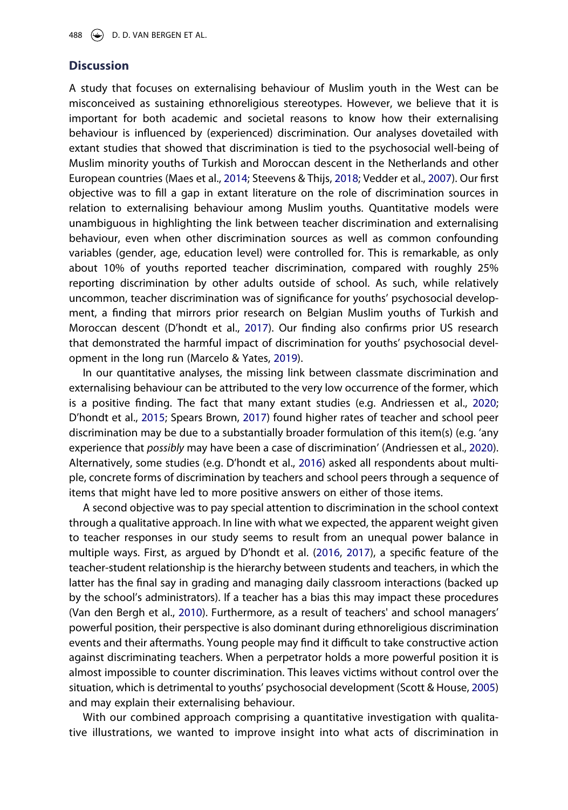## **Discussion**

A study that focuses on externalising behaviour of Muslim youth in the West can be misconceived as sustaining ethnoreligious stereotypes. However, we believe that it is important for both academic and societal reasons to know how their externalising behaviour is influenced by (experienced) discrimination. Our analyses dovetailed with extant studies that showed that discrimination is tied to the psychosocial well-being of Muslim minority youths of Turkish and Moroccan descent in the Netherlands and other European countries (Maes et al., [2014;](#page-19-0) Steevens & Thijs, [2018](#page-20-7); Vedder et al., [2007](#page-20-2)). Our first objective was to fill a gap in extant literature on the role of discrimination sources in relation to externalising behaviour among Muslim youths. Quantitative models were unambiguous in highlighting the link between teacher discrimination and externalising behaviour, even when other discrimination sources as well as common confounding variables (gender, age, education level) were controlled for. This is remarkable, as only about 10% of youths reported teacher discrimination, compared with roughly 25% reporting discrimination by other adults outside of school. As such, while relatively uncommon, teacher discrimination was of significance for youths' psychosocial development, a finding that mirrors prior research on Belgian Muslim youths of Turkish and Moroccan descent (D'hondt et al., [2017](#page-18-3)). Our finding also confirms prior US research that demonstrated the harmful impact of discrimination for youths' psychosocial development in the long run (Marcelo & Yates, [2019](#page-19-3)).

In our quantitative analyses, the missing link between classmate discrimination and externalising behaviour can be attributed to the very low occurrence of the former, which is a positive finding. The fact that many extant studies (e.g. Andriessen et al., [2020](#page-18-7); D'hondt et al., [2015](#page-18-8); Spears Brown, [2017\)](#page-20-5) found higher rates of teacher and school peer discrimination may be due to a substantially broader formulation of this item(s) (e.g. 'any experience that *possibly* may have been a case of discrimination' (Andriessen et al., [2020](#page-18-7)). Alternatively, some studies (e.g. D'hondt et al., [2016\)](#page-18-11) asked all respondents about multiple, concrete forms of discrimination by teachers and school peers through a sequence of items that might have led to more positive answers on either of those items.

<span id="page-14-1"></span>A second objective was to pay special attention to discrimination in the school context through a qualitative approach. In line with what we expected, the apparent weight given to teacher responses in our study seems to result from an unequal power balance in multiple ways. First, as argued by D'hondt et al. ([2016](#page-18-11), [2017\)](#page-18-3), a specific feature of the teacher-student relationship is the hierarchy between students and teachers, in which the latter has the final say in grading and managing daily classroom interactions (backed up by the school's administrators). If a teacher has a bias this may impact these procedures (Van den Bergh et al., [2010\)](#page-20-11). Furthermore, as a result of teachers' and school managers' powerful position, their perspective is also dominant during ethnoreligious discrimination events and their aftermaths. Young people may find it difficult to take constructive action against discriminating teachers. When a perpetrator holds a more powerful position it is almost impossible to counter discrimination. This leaves victims without control over the situation, which is detrimental to youths' psychosocial development (Scott & House, [2005](#page-19-15)) and may explain their externalising behaviour.

<span id="page-14-0"></span>With our combined approach comprising a quantitative investigation with qualitative illustrations, we wanted to improve insight into what acts of discrimination in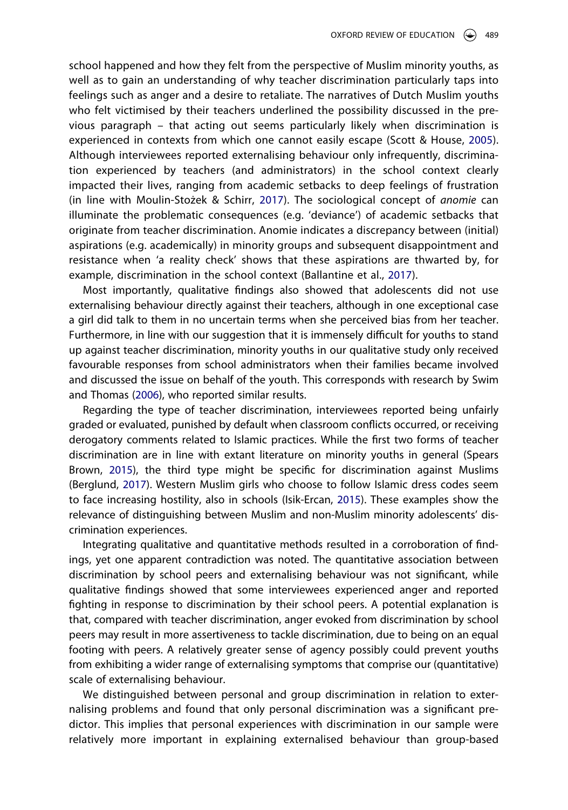school happened and how they felt from the perspective of Muslim minority youths, as well as to gain an understanding of why teacher discrimination particularly taps into feelings such as anger and a desire to retaliate. The narratives of Dutch Muslim youths who felt victimised by their teachers underlined the possibility discussed in the previous paragraph – that acting out seems particularly likely when discrimination is experienced in contexts from which one cannot easily escape (Scott & House, [2005](#page-19-15)). Although interviewees reported externalising behaviour only infrequently, discrimination experienced by teachers (and administrators) in the school context clearly impacted their lives, ranging from academic setbacks to deep feelings of frustration (in line with Moulin-Stożek & Schirr, [2017](#page-19-10)). The sociological concept of *anomie* can illuminate the problematic consequences (e.g. 'deviance') of academic setbacks that originate from teacher discrimination. Anomie indicates a discrepancy between (initial) aspirations (e.g. academically) in minority groups and subsequent disappointment and resistance when 'a reality check' shows that these aspirations are thwarted by, for example, discrimination in the school context (Ballantine et al., [2017](#page-18-10)).

Most importantly, qualitative findings also showed that adolescents did not use externalising behaviour directly against their teachers, although in one exceptional case a girl did talk to them in no uncertain terms when she perceived bias from her teacher. Furthermore, in line with our suggestion that it is immensely difficult for youths to stand up against teacher discrimination, minority youths in our qualitative study only received favourable responses from school administrators when their families became involved and discussed the issue on behalf of the youth. This corresponds with research by Swim and Thomas ([2006](#page-20-12)), who reported similar results.

<span id="page-15-2"></span><span id="page-15-1"></span>Regarding the type of teacher discrimination, interviewees reported being unfairly graded or evaluated, punished by default when classroom conflicts occurred, or receiving derogatory comments related to Islamic practices. While the first two forms of teacher discrimination are in line with extant literature on minority youths in general (Spears Brown, [2015](#page-20-13)), the third type might be specific for discrimination against Muslims (Berglund, [2017](#page-18-9)). Western Muslim girls who choose to follow Islamic dress codes seem to face increasing hostility, also in schools (Isik-Ercan, [2015\)](#page-19-16). These examples show the relevance of distinguishing between Muslim and non-Muslim minority adolescents' discrimination experiences.

<span id="page-15-0"></span>Integrating qualitative and quantitative methods resulted in a corroboration of findings, yet one apparent contradiction was noted. The quantitative association between discrimination by school peers and externalising behaviour was not significant, while qualitative findings showed that some interviewees experienced anger and reported fighting in response to discrimination by their school peers. A potential explanation is that, compared with teacher discrimination, anger evoked from discrimination by school peers may result in more assertiveness to tackle discrimination, due to being on an equal footing with peers. A relatively greater sense of agency possibly could prevent youths from exhibiting a wider range of externalising symptoms that comprise our (quantitative) scale of externalising behaviour.

We distinguished between personal and group discrimination in relation to externalising problems and found that only personal discrimination was a significant predictor. This implies that personal experiences with discrimination in our sample were relatively more important in explaining externalised behaviour than group-based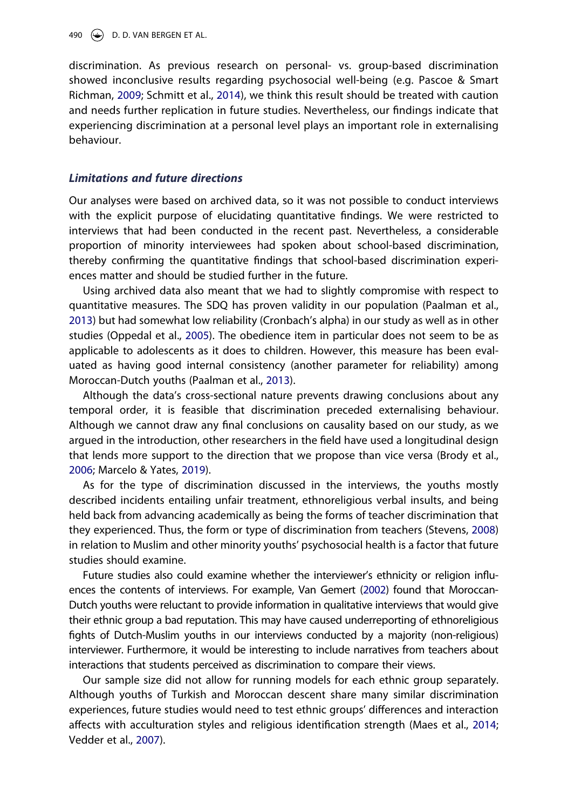discrimination. As previous research on personal- vs. group-based discrimination showed inconclusive results regarding psychosocial well-being (e.g. Pascoe & Smart Richman, [2009;](#page-19-2) Schmitt et al., [2014](#page-19-13)), we think this result should be treated with caution and needs further replication in future studies. Nevertheless, our findings indicate that experiencing discrimination at a personal level plays an important role in externalising behaviour.

### *Limitations and future directions*

Our analyses were based on archived data, so it was not possible to conduct interviews with the explicit purpose of elucidating quantitative findings. We were restricted to interviews that had been conducted in the recent past. Nevertheless, a considerable proportion of minority interviewees had spoken about school-based discrimination, thereby confirming the quantitative findings that school-based discrimination experiences matter and should be studied further in the future.

Using archived data also meant that we had to slightly compromise with respect to quantitative measures. The SDQ has proven validity in our population (Paalman et al., [2013\)](#page-19-7) but had somewhat low reliability (Cronbach's alpha) in our study as well as in other studies (Oppedal et al., [2005\)](#page-19-6). The obedience item in particular does not seem to be as applicable to adolescents as it does to children. However, this measure has been evaluated as having good internal consistency (another parameter for reliability) among Moroccan-Dutch youths (Paalman et al., [2013\)](#page-19-7).

Although the data's cross-sectional nature prevents drawing conclusions about any temporal order, it is feasible that discrimination preceded externalising behaviour. Although we cannot draw any final conclusions on causality based on our study, as we argued in the introduction, other researchers in the field have used a longitudinal design that lends more support to the direction that we propose than vice versa (Brody et al., [2006;](#page-18-2) Marcelo & Yates, [2019](#page-19-3)).

<span id="page-16-0"></span>As for the type of discrimination discussed in the interviews, the youths mostly described incidents entailing unfair treatment, ethnoreligious verbal insults, and being held back from advancing academically as being the forms of teacher discrimination that they experienced. Thus, the form or type of discrimination from teachers (Stevens, [2008](#page-20-14)) in relation to Muslim and other minority youths' psychosocial health is a factor that future studies should examine.

<span id="page-16-1"></span>Future studies also could examine whether the interviewer's ethnicity or religion influences the contents of interviews. For example, Van Gemert [\(2002](#page-20-15)) found that Moroccan-Dutch youths were reluctant to provide information in qualitative interviews that would give their ethnic group a bad reputation. This may have caused underreporting of ethnoreligious fights of Dutch-Muslim youths in our interviews conducted by a majority (non-religious) interviewer. Furthermore, it would be interesting to include narratives from teachers about interactions that students perceived as discrimination to compare their views.

Our sample size did not allow for running models for each ethnic group separately. Although youths of Turkish and Moroccan descent share many similar discrimination experiences, future studies would need to test ethnic groups' differences and interaction affects with acculturation styles and religious identification strength (Maes et al., [2014](#page-19-0); Vedder et al., [2007\)](#page-20-2).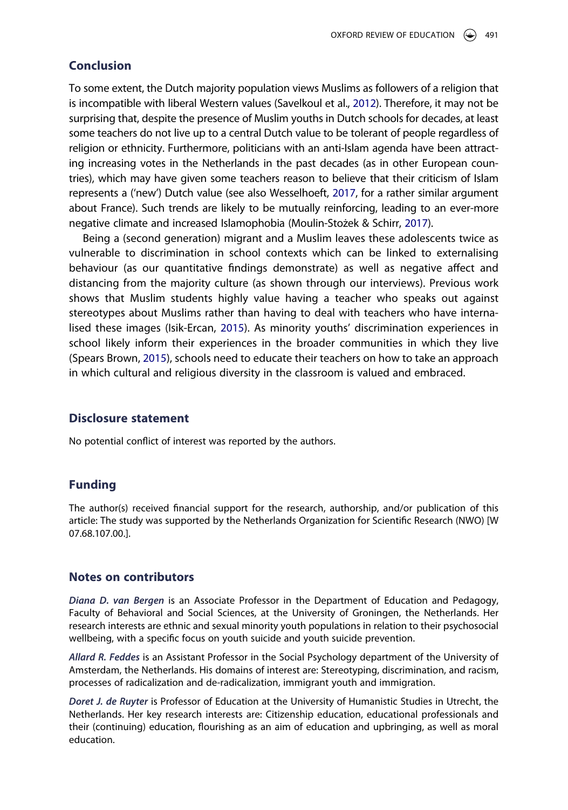## **Conclusion**

To some extent, the Dutch majority population views Muslims as followers of a religion that is incompatible with liberal Western values (Savelkoul et al., [2012\)](#page-19-8). Therefore, it may not be surprising that, despite the presence of Muslim youths in Dutch schools for decades, at least some teachers do not live up to a central Dutch value to be tolerant of people regardless of religion or ethnicity. Furthermore, politicians with an anti-Islam agenda have been attracting increasing votes in the Netherlands in the past decades (as in other European countries), which may have given some teachers reason to believe that their criticism of Islam represents a ('new') Dutch value (see also Wesselhoeft, [2017,](#page-20-6) for a rather similar argument about France). Such trends are likely to be mutually reinforcing, leading to an ever-more negative climate and increased Islamophobia (Moulin-Stożek & Schirr, [2017\)](#page-19-10).

Being a (second generation) migrant and a Muslim leaves these adolescents twice as vulnerable to discrimination in school contexts which can be linked to externalising behaviour (as our quantitative findings demonstrate) as well as negative affect and distancing from the majority culture (as shown through our interviews). Previous work shows that Muslim students highly value having a teacher who speaks out against stereotypes about Muslims rather than having to deal with teachers who have internalised these images (Isik-Ercan, [2015](#page-19-16)). As minority youths' discrimination experiences in school likely inform their experiences in the broader communities in which they live (Spears Brown, [2015\)](#page-20-13), schools need to educate their teachers on how to take an approach in which cultural and religious diversity in the classroom is valued and embraced.

#### **Disclosure statement**

No potential conflict of interest was reported by the authors.

## **Funding**

The author(s) received financial support for the research, authorship, and/or publication of this article: The study was supported by the Netherlands Organization for Scientific Research (NWO) [W 07.68.107.00.].

#### **Notes on contributors**

*Diana D. van Bergen* is an Associate Professor in the Department of Education and Pedagogy, Faculty of Behavioral and Social Sciences, at the University of Groningen, the Netherlands. Her research interests are ethnic and sexual minority youth populations in relation to their psychosocial wellbeing, with a specific focus on youth suicide and youth suicide prevention.

*Allard R. Feddes* is an Assistant Professor in the Social Psychology department of the University of Amsterdam, the Netherlands. His domains of interest are: Stereotyping, discrimination, and racism, processes of radicalization and de-radicalization, immigrant youth and immigration.

*Doret J. de Ruyter* is Professor of Education at the University of Humanistic Studies in Utrecht, the Netherlands. Her key research interests are: Citizenship education, educational professionals and their (continuing) education, flourishing as an aim of education and upbringing, as well as moral education.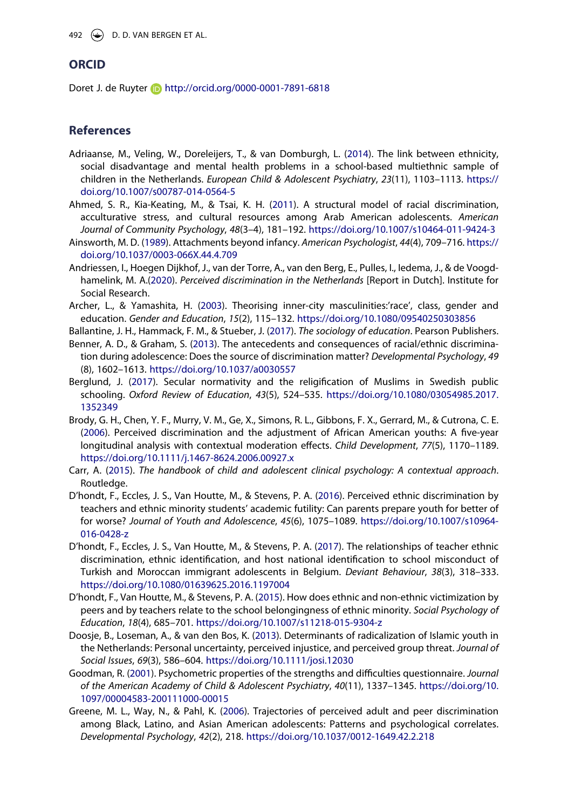## **ORCID**

Doret J. de Ruyter **b** http://orcid.org/0000-0001-7891-6818

## **References**

- <span id="page-18-1"></span>Adriaanse, M., Veling, W., Doreleijers, T., & van Domburgh, L. ([2014](#page-2-0)). The link between ethnicity, social disadvantage and mental health problems in a school-based multiethnic sample of children in the Netherlands. *European Child & Adolescent Psychiatry*, *23*(11), 1103–1113. [https://](https://doi.org/10.1007/s00787-014-0564-5) [doi.org/10.1007/s00787-014-0564-5](https://doi.org/10.1007/s00787-014-0564-5)
- <span id="page-18-13"></span>Ahmed, S. R., Kia-Keating, M., & Tsai, K. H. ([2011](#page-4-0)). A structural model of racial discrimination, acculturative stress, and cultural resources among Arab American adolescents. *American Journal of Community Psychology*, *48*(3–4), 181–192. <https://doi.org/10.1007/s10464-011-9424-3>
- <span id="page-18-12"></span>Ainsworth, M. D. ([1989\)](#page-3-0). Attachments beyond infancy. *American Psychologist*, *44*(4), 709–716. [https://](https://doi.org/10.1037/0003-066X.44.4.709) [doi.org/10.1037/0003-066X.44.4.709](https://doi.org/10.1037/0003-066X.44.4.709)
- <span id="page-18-7"></span>Andriessen, I., Hoegen Dijkhof, J., van der Torre, A., van den Berg, E., Pulles, I., Iedema, J., & de Voogdhamelink, M. A.([2020](#page-3-1)). *Perceived discrimination in the Netherlands* [Report in Dutch]. Institute for Social Research.
- <span id="page-18-6"></span>Archer, L., & Yamashita, H. [\(2003\)](#page-3-2). Theorising inner-city masculinities:'race', class, gender and education. *Gender and Education*, *15*(2), 115–132. <https://doi.org/10.1080/09540250303856>
- <span id="page-18-10"></span><span id="page-18-4"></span>Ballantine, J. H., Hammack, F. M., & Stueber, J. [\(2017\)](#page-3-3). *The sociology of education*. Pearson Publishers. Benner, A. D., & Graham, S. ([2013](#page-2-1)). The antecedents and consequences of racial/ethnic discrimina-
- tion during adolescence: Does the source of discrimination matter? *Developmental Psychology*, *49*  (8), 1602–1613. <https://doi.org/10.1037/a0030557> Berglund, J. [\(2017\)](#page-3-4). Secular normativity and the religification of Muslims in Swedish public
- <span id="page-18-9"></span>schooling. *Oxford Review of Education*, *43*(5), 524–535. [https://doi.org/10.1080/03054985.2017.](https://doi.org/10.1080/03054985.2017.1352349) [1352349](https://doi.org/10.1080/03054985.2017.1352349)
- <span id="page-18-2"></span>Brody, G. H., Chen, Y. F., Murry, V. M., Ge, X., Simons, R. L., Gibbons, F. X., Gerrard, M., & Cutrona, C. E. ([2006](#page-2-2)). Perceived discrimination and the adjustment of African American youths: A five-year longitudinal analysis with contextual moderation effects. *Child Development*, *77*(5), 1170–1189. <https://doi.org/10.1111/j.1467-8624.2006.00927.x>
- <span id="page-18-0"></span>Carr, A. [\(2015\)](#page-2-3). *The handbook of child and adolescent clinical psychology: A contextual approach*. Routledge.
- <span id="page-18-11"></span>D'hondt, F., Eccles, J. S., Van Houtte, M., & Stevens, P. A. [\(2016\)](#page-3-5). Perceived ethnic discrimination by teachers and ethnic minority students' academic futility: Can parents prepare youth for better of for worse? *Journal of Youth and Adolescence*, *45*(6), 1075–1089. [https://doi.org/10.1007/s10964-](https://doi.org/10.1007/s10964-016-0428-z) [016-0428-z](https://doi.org/10.1007/s10964-016-0428-z)
- <span id="page-18-3"></span>D'hondt, F., Eccles, J. S., Van Houtte, M., & Stevens, P. A. ([2017](#page-2-4)). The relationships of teacher ethnic discrimination, ethnic identification, and host national identification to school misconduct of Turkish and Moroccan immigrant adolescents in Belgium. *Deviant Behaviour*, *38*(3), 318–333. <https://doi.org/10.1080/01639625.2016.1197004>
- <span id="page-18-8"></span>D'hondt, F., Van Houtte, M., & Stevens, P. A. [\(2015\)](#page-3-6). How does ethnic and non-ethnic victimization by peers and by teachers relate to the school belongingness of ethnic minority. *Social Psychology of Education*, *18*(4), 685–701. <https://doi.org/10.1007/s11218-015-9304-z>
- <span id="page-18-15"></span>Doosje, B., Loseman, A., & van den Bos, K. ([2013](#page-7-0)). Determinants of radicalization of Islamic youth in the Netherlands: Personal uncertainty, perceived injustice, and perceived group threat. *Journal of Social Issues*, *69*(3), 586–604. <https://doi.org/10.1111/josi.12030>
- <span id="page-18-14"></span>Goodman, R. ([2001](#page-6-0)). Psychometric properties of the strengths and difficulties questionnaire. *Journal of the American Academy of Child & Adolescent Psychiatry*, *40*(11), 1337–1345. [https://doi.org/10.](https://doi.org/10.1097/00004583-200111000-00015) [1097/00004583-200111000-00015](https://doi.org/10.1097/00004583-200111000-00015)
- <span id="page-18-5"></span>Greene, M. L., Way, N., & Pahl, K. ([2006](#page-2-5)). Trajectories of perceived adult and peer discrimination among Black, Latino, and Asian American adolescents: Patterns and psychological correlates. *Developmental Psychology*, *42*(2), 218. <https://doi.org/10.1037/0012-1649.42.2.218>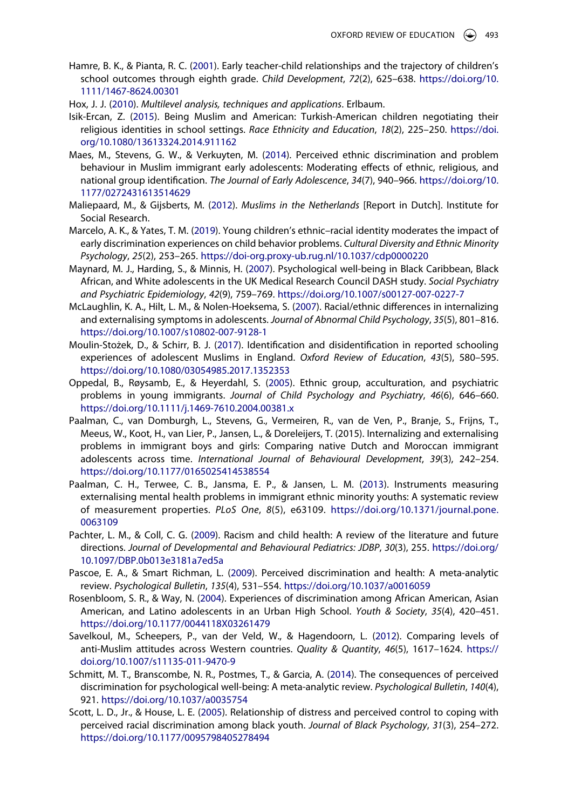- <span id="page-19-11"></span>Hamre, B. K., & Pianta, R. C. [\(2001\)](#page-4-1). Early teacher-child relationships and the trajectory of children's school outcomes through eighth grade. *Child Development*, *72*(2), 625–638. [https://doi.org/10.](https://doi.org/10.1111/1467%20108624.00301) [1111/1467-8624.00301](https://doi.org/10.1111/1467%20108624.00301)
- <span id="page-19-14"></span>Hox, J. J. [\(2010\)](#page-7-1). *Multilevel analysis, techniques and applications*. Erlbaum.
- <span id="page-19-16"></span>Isik-Ercan, Z. ([2015](#page-15-0)). Being Muslim and American: Turkish-American children negotiating their religious identities in school settings. *Race Ethnicity and Education*, *18*(2), 225–250. [https://doi.](https://doi.org/10.1080/13613324.2014.911162) [org/10.1080/13613324.2014.911162](https://doi.org/10.1080/13613324.2014.911162)
- <span id="page-19-0"></span>Maes, M., Stevens, G. W., & Verkuyten, M. [\(2014\)](#page-1-3). Perceived ethnic discrimination and problem behaviour in Muslim immigrant early adolescents: Moderating effects of ethnic, religious, and national group identification. *The Journal of Early Adolescence*, *34*(7), 940–966. [https://doi.org/10.](https://doi.org/10.1177/0272431613514629) [1177/0272431613514629](https://doi.org/10.1177/0272431613514629)
- <span id="page-19-9"></span>Maliepaard, M., & Gijsberts, M. ([2012\)](#page-3-7). *Muslims in the Netherlands* [Report in Dutch]. Institute for Social Research.
- <span id="page-19-3"></span>Marcelo, A. K., & Yates, T. M. ([2019](#page-2-2)). Young children's ethnic–racial identity moderates the impact of early discrimination experiences on child behavior problems. *Cultural Diversity and Ethnic Minority Psychology*, *25*(2), 253–265. <https://doi-org.proxy-ub.rug.nl/10.1037/cdp0000220>
- <span id="page-19-4"></span>Maynard, M. J., Harding, S., & Minnis, H. ([2007](#page-2-6)). Psychological well-being in Black Caribbean, Black African, and White adolescents in the UK Medical Research Council DASH study. *Social Psychiatry and Psychiatric Epidemiology*, *42*(9), 759–769. <https://doi.org/10.1007/s00127-007-0227-7>
- <span id="page-19-5"></span>McLaughlin, K. A., Hilt, L. M., & Nolen-Hoeksema, S. [\(2007\)](#page-2-7). Racial/ethnic differences in internalizing and externalising symptoms in adolescents. *Journal of Abnormal Child Psychology*, *35*(5), 801–816. <https://doi.org/10.1007/s10802-007-9128-1>
- <span id="page-19-10"></span>Moulin-Stożek, D., & Schirr, B. J. ([2017](#page-3-8)). Identification and disidentification in reported schooling experiences of adolescent Muslims in England. *Oxford Review of Education*, *43*(5), 580–595. <https://doi.org/10.1080/03054985.2017.1352353>
- <span id="page-19-6"></span>Oppedal, B., Røysamb, E., & Heyerdahl, S. [\(2005\)](#page-2-4). Ethnic group, acculturation, and psychiatric problems in young immigrants. *Journal of Child Psychology and Psychiatry*, *46*(6), 646–660. <https://doi.org/10.1111/j.1469-7610.2004.00381.x>
- Paalman, C., van Domburgh, L., Stevens, G., Vermeiren, R., van de Ven, P., Branje, S., Frijns, T., Meeus, W., Koot, H., van Lier, P., Jansen, L., & Doreleijers, T. (2015). Internalizing and externalising problems in immigrant boys and girls: Comparing native Dutch and Moroccan immigrant adolescents across time. *International Journal of Behavioural Development*, *39*(3), 242–254. <https://doi.org/10.1177/0165025414538554>
- <span id="page-19-7"></span>Paalman, C. H., Terwee, C. B., Jansma, E. P., & Jansen, L. M. ([2013](#page-2-8)). Instruments measuring externalising mental health problems in immigrant ethnic minority youths: A systematic review of measurement properties. *PLoS One*, *8*(5), e63109. [https://doi.org/10.1371/journal.pone.](https://doi.org/10.1371/journal.pone.0063109) [0063109](https://doi.org/10.1371/journal.pone.0063109)
- <span id="page-19-1"></span>Pachter, L. M., & Coll, C. G. [\(2009\)](#page-1-4). Racism and child health: A review of the literature and future directions. *Journal of Developmental and Behavioural Pediatrics: JDBP*, *30*(3), 255. [https://doi.org/](https://doi.org/10.1097/DBP.0b013e3181a7ed5a) [10.1097/DBP.0b013e3181a7ed5a](https://doi.org/10.1097/DBP.0b013e3181a7ed5a)
- <span id="page-19-2"></span>Pascoe, E. A., & Smart Richman, L. ([2009\)](#page-1-5). Perceived discrimination and health: A meta-analytic review. *Psychological Bulletin*, *135*(4), 531–554. <https://doi.org/10.1037/a0016059>
- <span id="page-19-12"></span>Rosenbloom, S. R., & Way, N. ([2004](#page-4-2)). Experiences of discrimination among African American, Asian American, and Latino adolescents in an Urban High School. *Youth & Society*, *35*(4), 420–451. <https://doi.org/10.1177/0044118X03261479>
- <span id="page-19-8"></span>Savelkoul, M., Scheepers, P., van der Veld, W., & Hagendoorn, L. [\(2012\)](#page-2-9). Comparing levels of anti-Muslim attitudes across Western countries. *Quality & Quantity*, *46*(5), 1617–1624. [https://](https://doi.org/10.1007/s11135-011-9470-9) [doi.org/10.1007/s11135-011-9470-9](https://doi.org/10.1007/s11135-011-9470-9)
- <span id="page-19-13"></span>Schmitt, M. T., Branscombe, N. R., Postmes, T., & Garcia, A. ([2014](#page-4-3)). The consequences of perceived discrimination for psychological well-being: A meta-analytic review. *Psychological Bulletin*, *140*(4), 921. <https://doi.org/10.1037/a0035754>
- <span id="page-19-15"></span>Scott, L. D., Jr., & House, L. E. ([2005\)](#page-14-0). Relationship of distress and perceived control to coping with perceived racial discrimination among black youth. *Journal of Black Psychology*, *31*(3), 254–272. <https://doi.org/10.1177/0095798405278494>